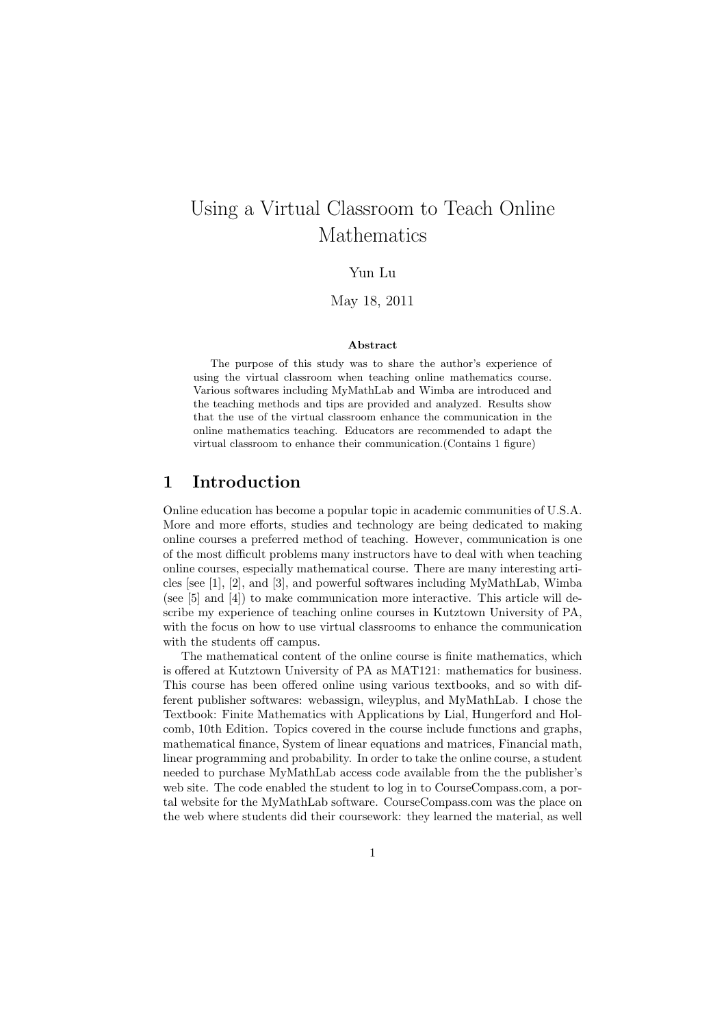# Using a Virtual Classroom to Teach Online Mathematics

Yun Lu

May 18, 2011

#### **Abstract**

The purpose of this study was to share the author's experience of using the virtual classroom when teaching online mathematics course. Various softwares including MyMathLab and Wimba are introduced and the teaching methods and tips are provided and analyzed. Results show that the use of the virtual classroom enhance the communication in the online mathematics teaching. Educators are recommended to adapt the virtual classroom to enhance their communication.(Contains 1 figure)

## **1 Introduction**

Online education has become a popular topic in academic communities of U.S.A. More and more efforts, studies and technology are being dedicated to making online courses a preferred method of teaching. However, communication is one of the most difficult problems many instructors have to deal with when teaching online courses, especially mathematical course. There are many interesting articles [see [1], [2], and [3], and powerful softwares including MyMathLab, Wimba (see [5] and [4]) to make communication more interactive. This article will describe my experience of teaching online courses in Kutztown University of PA, with the focus on how to use virtual classrooms to enhance the communication with the students off campus.

The mathematical content of the online course is finite mathematics, which is offered at Kutztown University of PA as MAT121: mathematics for business. This course has been offered online using various textbooks, and so with different publisher softwares: webassign, wileyplus, and MyMathLab. I chose the Textbook: Finite Mathematics with Applications by Lial, Hungerford and Holcomb, 10th Edition. Topics covered in the course include functions and graphs, mathematical finance, System of linear equations and matrices, Financial math, linear programming and probability. In order to take the online course, a student needed to purchase MyMathLab access code available from the the publisher's web site. The code enabled the student to log in to CourseCompass.com, a portal website for the MyMathLab software. CourseCompass.com was the place on the web where students did their coursework: they learned the material, as well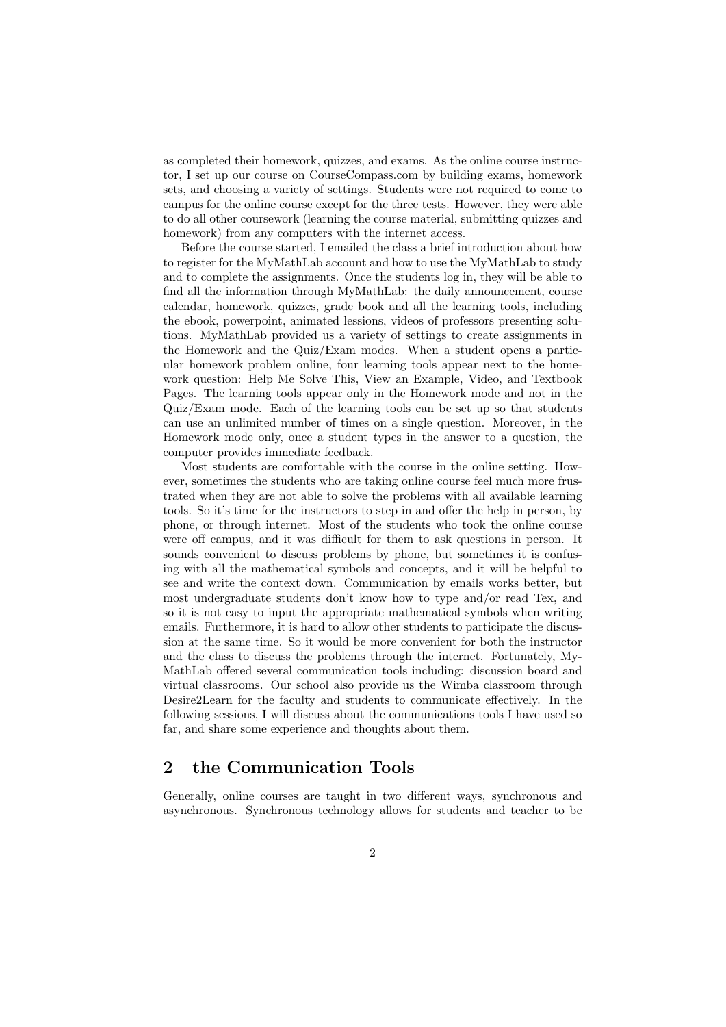as completed their homework, quizzes, and exams. As the online course instructor, I set up our course on CourseCompass.com by building exams, homework sets, and choosing a variety of settings. Students were not required to come to campus for the online course except for the three tests. However, they were able to do all other coursework (learning the course material, submitting quizzes and homework) from any computers with the internet access.

Before the course started, I emailed the class a brief introduction about how to register for the MyMathLab account and how to use the MyMathLab to study and to complete the assignments. Once the students log in, they will be able to find all the information through MyMathLab: the daily announcement, course calendar, homework, quizzes, grade book and all the learning tools, including the ebook, powerpoint, animated lessions, videos of professors presenting solutions. MyMathLab provided us a variety of settings to create assignments in the Homework and the Quiz/Exam modes. When a student opens a particular homework problem online, four learning tools appear next to the homework question: Help Me Solve This, View an Example, Video, and Textbook Pages. The learning tools appear only in the Homework mode and not in the Quiz/Exam mode. Each of the learning tools can be set up so that students can use an unlimited number of times on a single question. Moreover, in the Homework mode only, once a student types in the answer to a question, the computer provides immediate feedback.

Most students are comfortable with the course in the online setting. However, sometimes the students who are taking online course feel much more frustrated when they are not able to solve the problems with all available learning tools. So it's time for the instructors to step in and offer the help in person, by phone, or through internet. Most of the students who took the online course were off campus, and it was difficult for them to ask questions in person. It sounds convenient to discuss problems by phone, but sometimes it is confusing with all the mathematical symbols and concepts, and it will be helpful to see and write the context down. Communication by emails works better, but most undergraduate students don't know how to type and/or read Tex, and so it is not easy to input the appropriate mathematical symbols when writing emails. Furthermore, it is hard to allow other students to participate the discussion at the same time. So it would be more convenient for both the instructor and the class to discuss the problems through the internet. Fortunately, My-MathLab offered several communication tools including: discussion board and virtual classrooms. Our school also provide us the Wimba classroom through Desire2Learn for the faculty and students to communicate effectively. In the following sessions, I will discuss about the communications tools I have used so far, and share some experience and thoughts about them.

# **2 the Communication Tools**

Generally, online courses are taught in two different ways, synchronous and asynchronous. Synchronous technology allows for students and teacher to be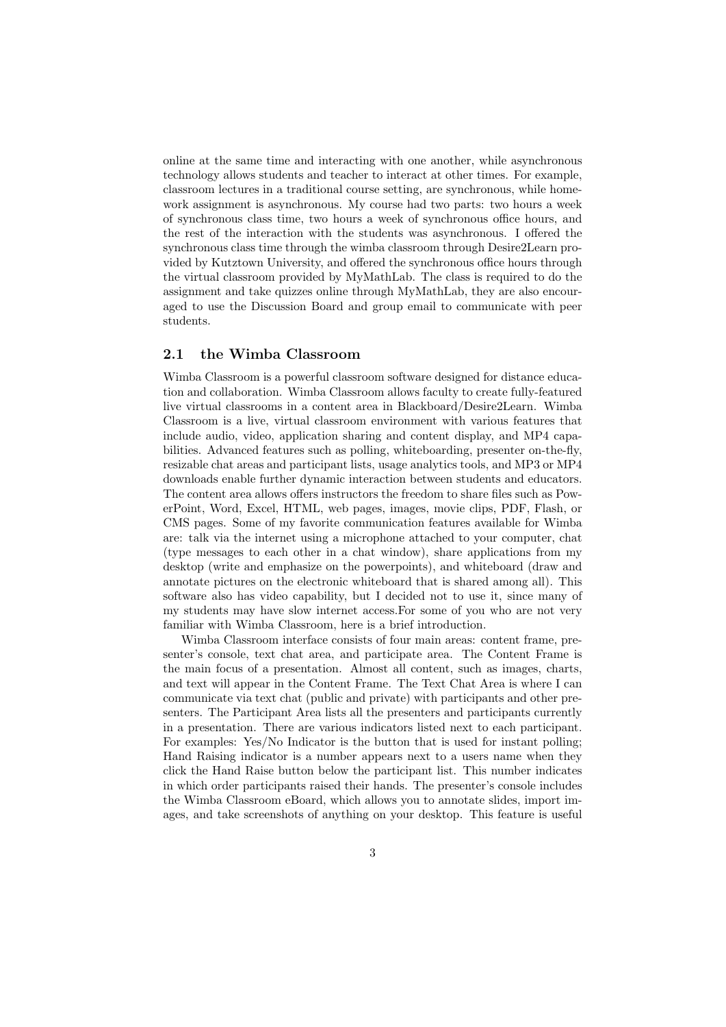online at the same time and interacting with one another, while asynchronous technology allows students and teacher to interact at other times. For example, classroom lectures in a traditional course setting, are synchronous, while homework assignment is asynchronous. My course had two parts: two hours a week of synchronous class time, two hours a week of synchronous office hours, and the rest of the interaction with the students was asynchronous. I offered the synchronous class time through the wimba classroom through Desire2Learn provided by Kutztown University, and offered the synchronous office hours through the virtual classroom provided by MyMathLab. The class is required to do the assignment and take quizzes online through MyMathLab, they are also encouraged to use the Discussion Board and group email to communicate with peer students.

#### **2.1 the Wimba Classroom**

Wimba Classroom is a powerful classroom software designed for distance education and collaboration. Wimba Classroom allows faculty to create fully-featured live virtual classrooms in a content area in Blackboard/Desire2Learn. Wimba Classroom is a live, virtual classroom environment with various features that include audio, video, application sharing and content display, and MP4 capabilities. Advanced features such as polling, whiteboarding, presenter on-the-fly, resizable chat areas and participant lists, usage analytics tools, and MP3 or MP4 downloads enable further dynamic interaction between students and educators. The content area allows offers instructors the freedom to share files such as PowerPoint, Word, Excel, HTML, web pages, images, movie clips, PDF, Flash, or CMS pages. Some of my favorite communication features available for Wimba are: talk via the internet using a microphone attached to your computer, chat (type messages to each other in a chat window), share applications from my desktop (write and emphasize on the powerpoints), and whiteboard (draw and annotate pictures on the electronic whiteboard that is shared among all). This software also has video capability, but I decided not to use it, since many of my students may have slow internet access.For some of you who are not very familiar with Wimba Classroom, here is a brief introduction.

Wimba Classroom interface consists of four main areas: content frame, presenter's console, text chat area, and participate area. The Content Frame is the main focus of a presentation. Almost all content, such as images, charts, and text will appear in the Content Frame. The Text Chat Area is where I can communicate via text chat (public and private) with participants and other presenters. The Participant Area lists all the presenters and participants currently in a presentation. There are various indicators listed next to each participant. For examples: Yes/No Indicator is the button that is used for instant polling; Hand Raising indicator is a number appears next to a users name when they click the Hand Raise button below the participant list. This number indicates in which order participants raised their hands. The presenter's console includes the Wimba Classroom eBoard, which allows you to annotate slides, import images, and take screenshots of anything on your desktop. This feature is useful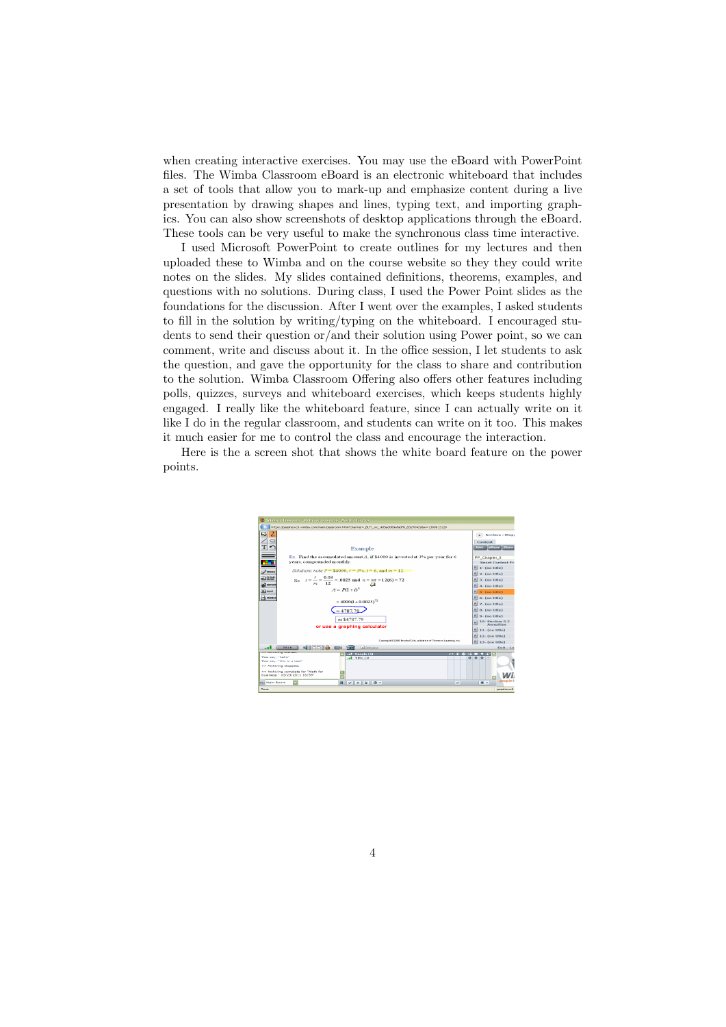when creating interactive exercises. You may use the eBoard with PowerPoint files. The Wimba Classroom eBoard is an electronic whiteboard that includes a set of tools that allow you to mark-up and emphasize content during a live presentation by drawing shapes and lines, typing text, and importing graphics. You can also show screenshots of desktop applications through the eBoard. These tools can be very useful to make the synchronous class time interactive.

I used Microsoft PowerPoint to create outlines for my lectures and then uploaded these to Wimba and on the course website so they they could write notes on the slides. My slides contained definitions, theorems, examples, and questions with no solutions. During class, I used the Power Point slides as the foundations for the discussion. After I went over the examples, I asked students to fill in the solution by writing/typing on the whiteboard. I encouraged students to send their question or/and their solution using Power point, so we can comment, write and discuss about it. In the office session, I let students to ask the question, and gave the opportunity for the class to share and contribution to the solution. Wimba Classroom Offering also offers other features including polls, quizzes, surveys and whiteboard exercises, which keeps students highly engaged. I really like the whiteboard feature, since I can actually write on it like I do in the regular classroom, and students can write on it too. This makes it much easier for me to control the class and encourage the interaction.

Here is the a screen shot that shows the white board feature on the power points.

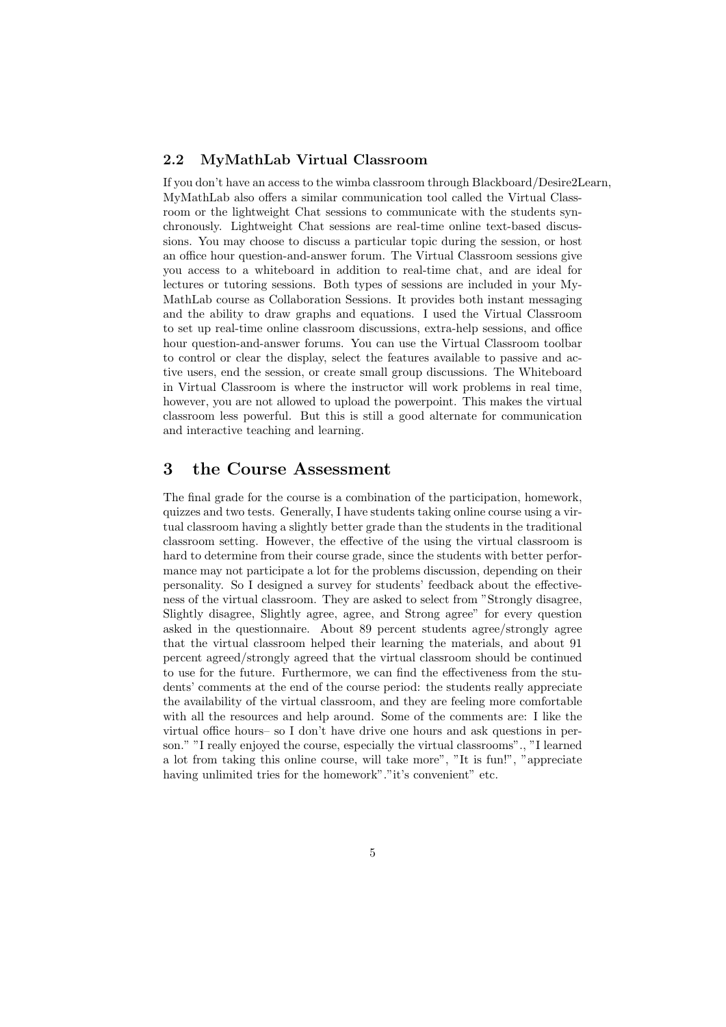#### **2.2 MyMathLab Virtual Classroom**

If you don't have an access to the wimba classroom through Blackboard/Desire2Learn, MyMathLab also offers a similar communication tool called the Virtual Classroom or the lightweight Chat sessions to communicate with the students synchronously. Lightweight Chat sessions are real-time online text-based discussions. You may choose to discuss a particular topic during the session, or host an office hour question-and-answer forum. The Virtual Classroom sessions give you access to a whiteboard in addition to real-time chat, and are ideal for lectures or tutoring sessions. Both types of sessions are included in your My-MathLab course as Collaboration Sessions. It provides both instant messaging and the ability to draw graphs and equations. I used the Virtual Classroom to set up real-time online classroom discussions, extra-help sessions, and office hour question-and-answer forums. You can use the Virtual Classroom toolbar to control or clear the display, select the features available to passive and active users, end the session, or create small group discussions. The Whiteboard in Virtual Classroom is where the instructor will work problems in real time, however, you are not allowed to upload the powerpoint. This makes the virtual classroom less powerful. But this is still a good alternate for communication and interactive teaching and learning.

### **3 the Course Assessment**

The final grade for the course is a combination of the participation, homework, quizzes and two tests. Generally, I have students taking online course using a virtual classroom having a slightly better grade than the students in the traditional classroom setting. However, the effective of the using the virtual classroom is hard to determine from their course grade, since the students with better performance may not participate a lot for the problems discussion, depending on their personality. So I designed a survey for students' feedback about the effectiveness of the virtual classroom. They are asked to select from "Strongly disagree, Slightly disagree, Slightly agree, agree, and Strong agree" for every question asked in the questionnaire. About 89 percent students agree/strongly agree that the virtual classroom helped their learning the materials, and about 91 percent agreed/strongly agreed that the virtual classroom should be continued to use for the future. Furthermore, we can find the effectiveness from the students' comments at the end of the course period: the students really appreciate the availability of the virtual classroom, and they are feeling more comfortable with all the resources and help around. Some of the comments are: I like the virtual office hours– so I don't have drive one hours and ask questions in person." "I really enjoyed the course, especially the virtual classrooms"., "I learned a lot from taking this online course, will take more", "It is fun!", "appreciate having unlimited tries for the homework"."it's convenient" etc.